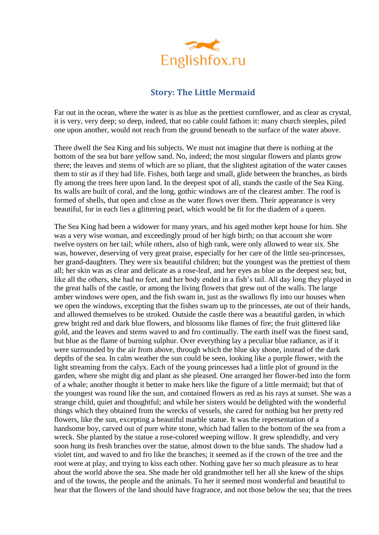

## **Story: The Little Mermaid**

Far out in the ocean, where the water is as blue as the prettiest cornflower, and as clear as crystal, it is very, very deep; so deep, indeed, that no cable could fathom it: many church steeples, piled one upon another, would not reach from the ground beneath to the surface of the water above.

There dwell the Sea King and his subjects. We must not imagine that there is nothing at the bottom of the sea but bare yellow sand. No, indeed; the most singular flowers and plants grow there; the leaves and stems of which are so pliant, that the slightest agitation of the water causes them to stir as if they had life. Fishes, both large and small, glide between the branches, as birds fly among the trees here upon land. In the deepest spot of all, stands the castle of the Sea King. Its walls are built of coral, and the long, gothic windows are of the clearest amber. The roof is formed of shells, that open and close as the water flows over them. Their appearance is very beautiful, for in each lies a glittering pearl, which would be fit for the diadem of a queen.

The Sea King had been a widower for many years, and his aged mother kept house for him. She was a very wise woman, and exceedingly proud of her high birth; on that account she wore twelve oysters on her tail; while others, also of high rank, were only allowed to wear six. She was, however, deserving of very great praise, especially for her care of the little sea-princesses, her grand-daughters. They were six beautiful children; but the youngest was the prettiest of them all; her skin was as clear and delicate as a rose-leaf, and her eyes as blue as the deepest sea; but, like all the others, she had no feet, and her body ended in a fish's tail. All day long they played in the great halls of the castle, or among the living flowers that grew out of the walls. The large amber windows were open, and the fish swam in, just as the swallows fly into our houses when we open the windows, excepting that the fishes swam up to the princesses, ate out of their hands, and allowed themselves to be stroked. Outside the castle there was a beautiful garden, in which grew bright red and dark blue flowers, and blossoms like flames of fire; the fruit glittered like gold, and the leaves and stems waved to and fro continually. The earth itself was the finest sand, but blue as the flame of burning sulphur. Over everything lay a peculiar blue radiance, as if it were surrounded by the air from above, through which the blue sky shone, instead of the dark depths of the sea. In calm weather the sun could be seen, looking like a purple flower, with the light streaming from the calyx. Each of the young princesses had a little plot of ground in the garden, where she might dig and plant as she pleased. One arranged her flower-bed into the form of a whale; another thought it better to make hers like the figure of a little mermaid; but that of the youngest was round like the sun, and contained flowers as red as his rays at sunset. She was a strange child, quiet and thoughtful; and while her sisters would be delighted with the wonderful things which they obtained from the wrecks of vessels, she cared for nothing but her pretty red flowers, like the sun, excepting a beautiful marble statue. It was the representation of a handsome boy, carved out of pure white stone, which had fallen to the bottom of the sea from a wreck. She planted by the statue a rose-colored weeping willow. It grew splendidly, and very soon hung its fresh branches over the statue, almost down to the blue sands. The shadow had a violet tint, and waved to and fro like the branches; it seemed as if the crown of the tree and the root were at play, and trying to kiss each other. Nothing gave her so much pleasure as to hear about the world above the sea. She made her old grandmother tell her all she knew of the ships and of the towns, the people and the animals. To her it seemed most wonderful and beautiful to hear that the flowers of the land should have fragrance, and not those below the sea; that the trees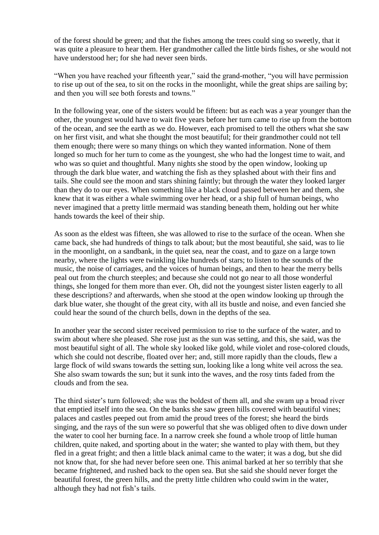of the forest should be green; and that the fishes among the trees could sing so sweetly, that it was quite a pleasure to hear them. Her grandmother called the little birds fishes, or she would not have understood her; for she had never seen birds.

"When you have reached your fifteenth year," said the grand-mother, "you will have permission to rise up out of the sea, to sit on the rocks in the moonlight, while the great ships are sailing by; and then you will see both forests and towns."

In the following year, one of the sisters would be fifteen: but as each was a year younger than the other, the youngest would have to wait five years before her turn came to rise up from the bottom of the ocean, and see the earth as we do. However, each promised to tell the others what she saw on her first visit, and what she thought the most beautiful; for their grandmother could not tell them enough; there were so many things on which they wanted information. None of them longed so much for her turn to come as the youngest, she who had the longest time to wait, and who was so quiet and thoughtful. Many nights she stood by the open window, looking up through the dark blue water, and watching the fish as they splashed about with their fins and tails. She could see the moon and stars shining faintly; but through the water they looked larger than they do to our eyes. When something like a black cloud passed between her and them, she knew that it was either a whale swimming over her head, or a ship full of human beings, who never imagined that a pretty little mermaid was standing beneath them, holding out her white hands towards the keel of their ship.

As soon as the eldest was fifteen, she was allowed to rise to the surface of the ocean. When she came back, she had hundreds of things to talk about; but the most beautiful, she said, was to lie in the moonlight, on a sandbank, in the quiet sea, near the coast, and to gaze on a large town nearby, where the lights were twinkling like hundreds of stars; to listen to the sounds of the music, the noise of carriages, and the voices of human beings, and then to hear the merry bells peal out from the church steeples; and because she could not go near to all those wonderful things, she longed for them more than ever. Oh, did not the youngest sister listen eagerly to all these descriptions? and afterwards, when she stood at the open window looking up through the dark blue water, she thought of the great city, with all its bustle and noise, and even fancied she could hear the sound of the church bells, down in the depths of the sea.

In another year the second sister received permission to rise to the surface of the water, and to swim about where she pleased. She rose just as the sun was setting, and this, she said, was the most beautiful sight of all. The whole sky looked like gold, while violet and rose-colored clouds, which she could not describe, floated over her; and, still more rapidly than the clouds, flew a large flock of wild swans towards the setting sun, looking like a long white veil across the sea. She also swam towards the sun; but it sunk into the waves, and the rosy tints faded from the clouds and from the sea.

The third sister's turn followed; she was the boldest of them all, and she swam up a broad river that emptied itself into the sea. On the banks she saw green hills covered with beautiful vines; palaces and castles peeped out from amid the proud trees of the forest; she heard the birds singing, and the rays of the sun were so powerful that she was obliged often to dive down under the water to cool her burning face. In a narrow creek she found a whole troop of little human children, quite naked, and sporting about in the water; she wanted to play with them, but they fled in a great fright; and then a little black animal came to the water; it was a dog, but she did not know that, for she had never before seen one. This animal barked at her so terribly that she became frightened, and rushed back to the open sea. But she said she should never forget the beautiful forest, the green hills, and the pretty little children who could swim in the water, although they had not fish's tails.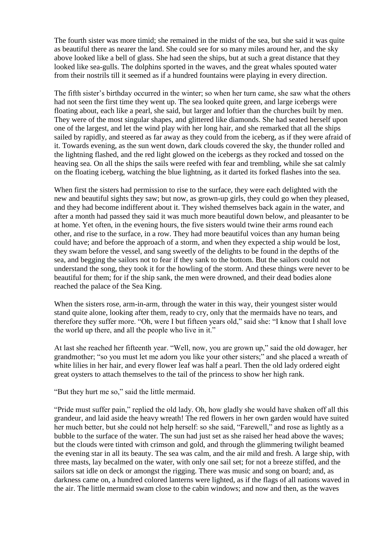The fourth sister was more timid; she remained in the midst of the sea, but she said it was quite as beautiful there as nearer the land. She could see for so many miles around her, and the sky above looked like a bell of glass. She had seen the ships, but at such a great distance that they looked like sea-gulls. The dolphins sported in the waves, and the great whales spouted water from their nostrils till it seemed as if a hundred fountains were playing in every direction.

The fifth sister's birthday occurred in the winter; so when her turn came, she saw what the others had not seen the first time they went up. The sea looked quite green, and large icebergs were floating about, each like a pearl, she said, but larger and loftier than the churches built by men. They were of the most singular shapes, and glittered like diamonds. She had seated herself upon one of the largest, and let the wind play with her long hair, and she remarked that all the ships sailed by rapidly, and steered as far away as they could from the iceberg, as if they were afraid of it. Towards evening, as the sun went down, dark clouds covered the sky, the thunder rolled and the lightning flashed, and the red light glowed on the icebergs as they rocked and tossed on the heaving sea. On all the ships the sails were reefed with fear and trembling, while she sat calmly on the floating iceberg, watching the blue lightning, as it darted its forked flashes into the sea.

When first the sisters had permission to rise to the surface, they were each delighted with the new and beautiful sights they saw; but now, as grown-up girls, they could go when they pleased, and they had become indifferent about it. They wished themselves back again in the water, and after a month had passed they said it was much more beautiful down below, and pleasanter to be at home. Yet often, in the evening hours, the five sisters would twine their arms round each other, and rise to the surface, in a row. They had more beautiful voices than any human being could have; and before the approach of a storm, and when they expected a ship would be lost, they swam before the vessel, and sang sweetly of the delights to be found in the depths of the sea, and begging the sailors not to fear if they sank to the bottom. But the sailors could not understand the song, they took it for the howling of the storm. And these things were never to be beautiful for them; for if the ship sank, the men were drowned, and their dead bodies alone reached the palace of the Sea King.

When the sisters rose, arm-in-arm, through the water in this way, their youngest sister would stand quite alone, looking after them, ready to cry, only that the mermaids have no tears, and therefore they suffer more. "Oh, were I but fifteen years old," said she: "I know that I shall love the world up there, and all the people who live in it."

At last she reached her fifteenth year. "Well, now, you are grown up," said the old dowager, her grandmother; "so you must let me adorn you like your other sisters;" and she placed a wreath of white lilies in her hair, and every flower leaf was half a pearl. Then the old lady ordered eight great oysters to attach themselves to the tail of the princess to show her high rank.

"But they hurt me so," said the little mermaid.

"Pride must suffer pain," replied the old lady. Oh, how gladly she would have shaken off all this grandeur, and laid aside the heavy wreath! The red flowers in her own garden would have suited her much better, but she could not help herself: so she said, "Farewell," and rose as lightly as a bubble to the surface of the water. The sun had just set as she raised her head above the waves; but the clouds were tinted with crimson and gold, and through the glimmering twilight beamed the evening star in all its beauty. The sea was calm, and the air mild and fresh. A large ship, with three masts, lay becalmed on the water, with only one sail set; for not a breeze stiffed, and the sailors sat idle on deck or amongst the rigging. There was music and song on board; and, as darkness came on, a hundred colored lanterns were lighted, as if the flags of all nations waved in the air. The little mermaid swam close to the cabin windows; and now and then, as the waves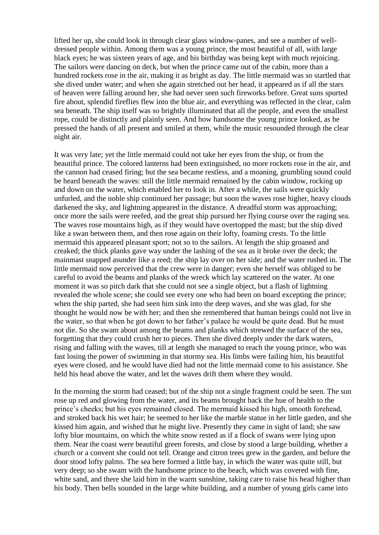lifted her up, she could look in through clear glass window-panes, and see a number of welldressed people within. Among them was a young prince, the most beautiful of all, with large black eyes; he was sixteen years of age, and his birthday was being kept with much rejoicing. The sailors were dancing on deck, but when the prince came out of the cabin, more than a hundred rockets rose in the air, making it as bright as day. The little mermaid was so startled that she dived under water; and when she again stretched out her head, it appeared as if all the stars of heaven were falling around her, she had never seen such fireworks before. Great suns spurted fire about, splendid fireflies flew into the blue air, and everything was reflected in the clear, calm sea beneath. The ship itself was so brightly illuminated that all the people, and even the smallest rope, could be distinctly and plainly seen. And how handsome the young prince looked, as he pressed the hands of all present and smiled at them, while the music resounded through the clear night air.

It was very late; yet the little mermaid could not take her eyes from the ship, or from the beautiful prince. The colored lanterns had been extinguished, no more rockets rose in the air, and the cannon had ceased firing; but the sea became restless, and a moaning, grumbling sound could be heard beneath the waves: still the little mermaid remained by the cabin window, rocking up and down on the water, which enabled her to look in. After a while, the sails were quickly unfurled, and the noble ship continued her passage; but soon the waves rose higher, heavy clouds darkened the sky, and lightning appeared in the distance. A dreadful storm was approaching; once more the sails were reefed, and the great ship pursued her flying course over the raging sea. The waves rose mountains high, as if they would have overtopped the mast; but the ship dived like a swan between them, and then rose again on their lofty, foaming crests. To the little mermaid this appeared pleasant sport; not so to the sailors. At length the ship groaned and creaked; the thick planks gave way under the lashing of the sea as it broke over the deck; the mainmast snapped asunder like a reed; the ship lay over on her side; and the water rushed in. The little mermaid now perceived that the crew were in danger; even she herself was obliged to be careful to avoid the beams and planks of the wreck which lay scattered on the water. At one moment it was so pitch dark that she could not see a single object, but a flash of lightning revealed the whole scene; she could see every one who had been on board excepting the prince; when the ship parted, she had seen him sink into the deep waves, and she was glad, for she thought he would now be with her; and then she remembered that human beings could not live in the water, so that when he got down to her father's palace he would be quite dead. But he must not die. So she swam about among the beams and planks which strewed the surface of the sea, forgetting that they could crush her to pieces. Then she dived deeply under the dark waters, rising and falling with the waves, till at length she managed to reach the young prince, who was fast losing the power of swimming in that stormy sea. His limbs were failing him, his beautiful eyes were closed, and he would have died had not the little mermaid come to his assistance. She held his head above the water, and let the waves drift them where they would.

In the morning the storm had ceased; but of the ship not a single fragment could be seen. The sun rose up red and glowing from the water, and its beams brought back the hue of health to the prince's cheeks; but his eyes remained closed. The mermaid kissed his high, smooth forehead, and stroked back his wet hair; he seemed to her like the marble statue in her little garden, and she kissed him again, and wished that he might live. Presently they came in sight of land; she saw lofty blue mountains, on which the white snow rested as if a flock of swans were lying upon them. Near the coast were beautiful green forests, and close by stood a large building, whether a church or a convent she could not tell. Orange and citron trees grew in the garden, and before the door stood lofty palms. The sea here formed a little bay, in which the water was quite still, but very deep; so she swam with the handsome prince to the beach, which was covered with fine, white sand, and there she laid him in the warm sunshine, taking care to raise his head higher than his body. Then bells sounded in the large white building, and a number of young girls came into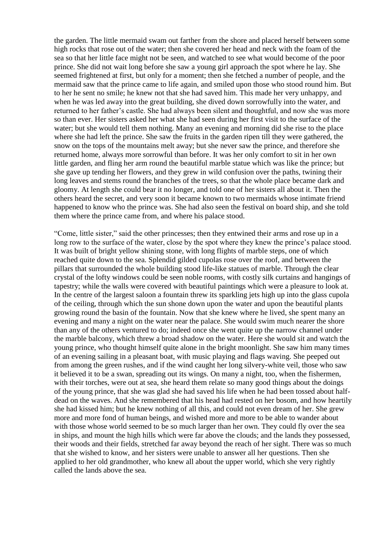the garden. The little mermaid swam out farther from the shore and placed herself between some high rocks that rose out of the water; then she covered her head and neck with the foam of the sea so that her little face might not be seen, and watched to see what would become of the poor prince. She did not wait long before she saw a young girl approach the spot where he lay. She seemed frightened at first, but only for a moment; then she fetched a number of people, and the mermaid saw that the prince came to life again, and smiled upon those who stood round him. But to her he sent no smile; he knew not that she had saved him. This made her very unhappy, and when he was led away into the great building, she dived down sorrowfully into the water, and returned to her father's castle. She had always been silent and thoughtful, and now she was more so than ever. Her sisters asked her what she had seen during her first visit to the surface of the water; but she would tell them nothing. Many an evening and morning did she rise to the place where she had left the prince. She saw the fruits in the garden ripen till they were gathered, the snow on the tops of the mountains melt away; but she never saw the prince, and therefore she returned home, always more sorrowful than before. It was her only comfort to sit in her own little garden, and fling her arm round the beautiful marble statue which was like the prince; but she gave up tending her flowers, and they grew in wild confusion over the paths, twining their long leaves and stems round the branches of the trees, so that the whole place became dark and gloomy. At length she could bear it no longer, and told one of her sisters all about it. Then the others heard the secret, and very soon it became known to two mermaids whose intimate friend happened to know who the prince was. She had also seen the festival on board ship, and she told them where the prince came from, and where his palace stood.

"Come, little sister," said the other princesses; then they entwined their arms and rose up in a long row to the surface of the water, close by the spot where they knew the prince's palace stood. It was built of bright yellow shining stone, with long flights of marble steps, one of which reached quite down to the sea. Splendid gilded cupolas rose over the roof, and between the pillars that surrounded the whole building stood life-like statues of marble. Through the clear crystal of the lofty windows could be seen noble rooms, with costly silk curtains and hangings of tapestry; while the walls were covered with beautiful paintings which were a pleasure to look at. In the centre of the largest saloon a fountain threw its sparkling jets high up into the glass cupola of the ceiling, through which the sun shone down upon the water and upon the beautiful plants growing round the basin of the fountain. Now that she knew where he lived, she spent many an evening and many a night on the water near the palace. She would swim much nearer the shore than any of the others ventured to do; indeed once she went quite up the narrow channel under the marble balcony, which threw a broad shadow on the water. Here she would sit and watch the young prince, who thought himself quite alone in the bright moonlight. She saw him many times of an evening sailing in a pleasant boat, with music playing and flags waving. She peeped out from among the green rushes, and if the wind caught her long silvery-white veil, those who saw it believed it to be a swan, spreading out its wings. On many a night, too, when the fishermen, with their torches, were out at sea, she heard them relate so many good things about the doings of the young prince, that she was glad she had saved his life when he had been tossed about halfdead on the waves. And she remembered that his head had rested on her bosom, and how heartily she had kissed him; but he knew nothing of all this, and could not even dream of her. She grew more and more fond of human beings, and wished more and more to be able to wander about with those whose world seemed to be so much larger than her own. They could fly over the sea in ships, and mount the high hills which were far above the clouds; and the lands they possessed, their woods and their fields, stretched far away beyond the reach of her sight. There was so much that she wished to know, and her sisters were unable to answer all her questions. Then she applied to her old grandmother, who knew all about the upper world, which she very rightly called the lands above the sea.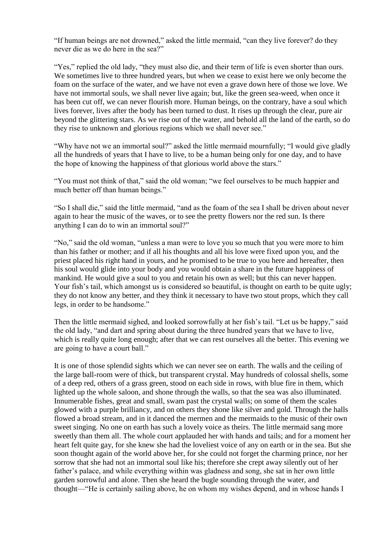"If human beings are not drowned," asked the little mermaid, "can they live forever? do they never die as we do here in the sea?"

"Yes," replied the old lady, "they must also die, and their term of life is even shorter than ours. We sometimes live to three hundred years, but when we cease to exist here we only become the foam on the surface of the water, and we have not even a grave down here of those we love. We have not immortal souls, we shall never live again; but, like the green sea-weed, when once it has been cut off, we can never flourish more. Human beings, on the contrary, have a soul which lives forever, lives after the body has been turned to dust. It rises up through the clear, pure air beyond the glittering stars. As we rise out of the water, and behold all the land of the earth, so do they rise to unknown and glorious regions which we shall never see."

"Why have not we an immortal soul?" asked the little mermaid mournfully; "I would give gladly all the hundreds of years that I have to live, to be a human being only for one day, and to have the hope of knowing the happiness of that glorious world above the stars."

"You must not think of that," said the old woman; "we feel ourselves to be much happier and much better off than human beings."

"So I shall die," said the little mermaid, "and as the foam of the sea I shall be driven about never again to hear the music of the waves, or to see the pretty flowers nor the red sun. Is there anything I can do to win an immortal soul?"

"No," said the old woman, "unless a man were to love you so much that you were more to him than his father or mother; and if all his thoughts and all his love were fixed upon you, and the priest placed his right hand in yours, and he promised to be true to you here and hereafter, then his soul would glide into your body and you would obtain a share in the future happiness of mankind. He would give a soul to you and retain his own as well; but this can never happen. Your fish's tail, which amongst us is considered so beautiful, is thought on earth to be quite ugly; they do not know any better, and they think it necessary to have two stout props, which they call legs, in order to be handsome."

Then the little mermaid sighed, and looked sorrowfully at her fish's tail. "Let us be happy," said the old lady, "and dart and spring about during the three hundred years that we have to live, which is really quite long enough; after that we can rest ourselves all the better. This evening we are going to have a court ball."

It is one of those splendid sights which we can never see on earth. The walls and the ceiling of the large ball-room were of thick, but transparent crystal. May hundreds of colossal shells, some of a deep red, others of a grass green, stood on each side in rows, with blue fire in them, which lighted up the whole saloon, and shone through the walls, so that the sea was also illuminated. Innumerable fishes, great and small, swam past the crystal walls; on some of them the scales glowed with a purple brilliancy, and on others they shone like silver and gold. Through the halls flowed a broad stream, and in it danced the mermen and the mermaids to the music of their own sweet singing. No one on earth has such a lovely voice as theirs. The little mermaid sang more sweetly than them all. The whole court applauded her with hands and tails; and for a moment her heart felt quite gay, for she knew she had the loveliest voice of any on earth or in the sea. But she soon thought again of the world above her, for she could not forget the charming prince, nor her sorrow that she had not an immortal soul like his; therefore she crept away silently out of her father's palace, and while everything within was gladness and song, she sat in her own little garden sorrowful and alone. Then she heard the bugle sounding through the water, and thought—"He is certainly sailing above, he on whom my wishes depend, and in whose hands I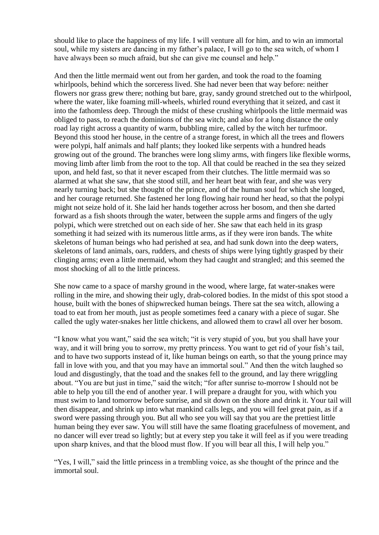should like to place the happiness of my life. I will venture all for him, and to win an immortal soul, while my sisters are dancing in my father's palace, I will go to the sea witch, of whom I have always been so much afraid, but she can give me counsel and help."

And then the little mermaid went out from her garden, and took the road to the foaming whirlpools, behind which the sorceress lived. She had never been that way before: neither flowers nor grass grew there; nothing but bare, gray, sandy ground stretched out to the whirlpool, where the water, like foaming mill-wheels, whirled round everything that it seized, and cast it into the fathomless deep. Through the midst of these crushing whirlpools the little mermaid was obliged to pass, to reach the dominions of the sea witch; and also for a long distance the only road lay right across a quantity of warm, bubbling mire, called by the witch her turfmoor. Beyond this stood her house, in the centre of a strange forest, in which all the trees and flowers were polypi, half animals and half plants; they looked like serpents with a hundred heads growing out of the ground. The branches were long slimy arms, with fingers like flexible worms, moving limb after limb from the root to the top. All that could be reached in the sea they seized upon, and held fast, so that it never escaped from their clutches. The little mermaid was so alarmed at what she saw, that she stood still, and her heart beat with fear, and she was very nearly turning back; but she thought of the prince, and of the human soul for which she longed, and her courage returned. She fastened her long flowing hair round her head, so that the polypi might not seize hold of it. She laid her hands together across her bosom, and then she darted forward as a fish shoots through the water, between the supple arms and fingers of the ugly polypi, which were stretched out on each side of her. She saw that each held in its grasp something it had seized with its numerous little arms, as if they were iron bands. The white skeletons of human beings who had perished at sea, and had sunk down into the deep waters, skeletons of land animals, oars, rudders, and chests of ships were lying tightly grasped by their clinging arms; even a little mermaid, whom they had caught and strangled; and this seemed the most shocking of all to the little princess.

She now came to a space of marshy ground in the wood, where large, fat water-snakes were rolling in the mire, and showing their ugly, drab-colored bodies. In the midst of this spot stood a house, built with the bones of shipwrecked human beings. There sat the sea witch, allowing a toad to eat from her mouth, just as people sometimes feed a canary with a piece of sugar. She called the ugly water-snakes her little chickens, and allowed them to crawl all over her bosom.

"I know what you want," said the sea witch; "it is very stupid of you, but you shall have your way, and it will bring you to sorrow, my pretty princess. You want to get rid of your fish's tail, and to have two supports instead of it, like human beings on earth, so that the young prince may fall in love with you, and that you may have an immortal soul." And then the witch laughed so loud and disgustingly, that the toad and the snakes fell to the ground, and lay there wriggling about. "You are but just in time," said the witch; "for after sunrise to-morrow I should not be able to help you till the end of another year. I will prepare a draught for you, with which you must swim to land tomorrow before sunrise, and sit down on the shore and drink it. Your tail will then disappear, and shrink up into what mankind calls legs, and you will feel great pain, as if a sword were passing through you. But all who see you will say that you are the prettiest little human being they ever saw. You will still have the same floating gracefulness of movement, and no dancer will ever tread so lightly; but at every step you take it will feel as if you were treading upon sharp knives, and that the blood must flow. If you will bear all this, I will help you."

"Yes, I will," said the little princess in a trembling voice, as she thought of the prince and the immortal soul.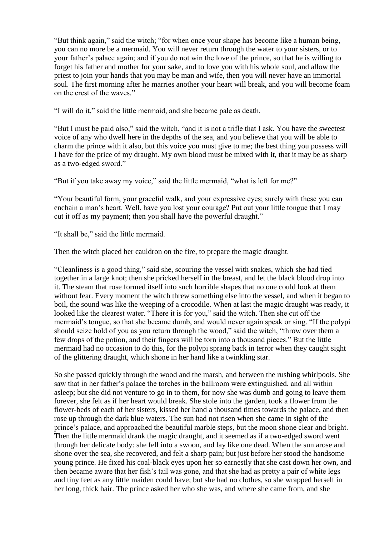"But think again," said the witch; "for when once your shape has become like a human being, you can no more be a mermaid. You will never return through the water to your sisters, or to your father's palace again; and if you do not win the love of the prince, so that he is willing to forget his father and mother for your sake, and to love you with his whole soul, and allow the priest to join your hands that you may be man and wife, then you will never have an immortal soul. The first morning after he marries another your heart will break, and you will become foam on the crest of the waves."

"I will do it," said the little mermaid, and she became pale as death.

"But I must be paid also," said the witch, "and it is not a trifle that I ask. You have the sweetest voice of any who dwell here in the depths of the sea, and you believe that you will be able to charm the prince with it also, but this voice you must give to me; the best thing you possess will I have for the price of my draught. My own blood must be mixed with it, that it may be as sharp as a two-edged sword."

"But if you take away my voice," said the little mermaid, "what is left for me?"

"Your beautiful form, your graceful walk, and your expressive eyes; surely with these you can enchain a man's heart. Well, have you lost your courage? Put out your little tongue that I may cut it off as my payment; then you shall have the powerful draught."

"It shall be," said the little mermaid.

Then the witch placed her cauldron on the fire, to prepare the magic draught.

"Cleanliness is a good thing," said she, scouring the vessel with snakes, which she had tied together in a large knot; then she pricked herself in the breast, and let the black blood drop into it. The steam that rose formed itself into such horrible shapes that no one could look at them without fear. Every moment the witch threw something else into the vessel, and when it began to boil, the sound was like the weeping of a crocodile. When at last the magic draught was ready, it looked like the clearest water. "There it is for you," said the witch. Then she cut off the mermaid's tongue, so that she became dumb, and would never again speak or sing. "If the polypi should seize hold of you as you return through the wood," said the witch, "throw over them a few drops of the potion, and their fingers will be torn into a thousand pieces." But the little mermaid had no occasion to do this, for the polypi sprang back in terror when they caught sight of the glittering draught, which shone in her hand like a twinkling star.

So she passed quickly through the wood and the marsh, and between the rushing whirlpools. She saw that in her father's palace the torches in the ballroom were extinguished, and all within asleep; but she did not venture to go in to them, for now she was dumb and going to leave them forever, she felt as if her heart would break. She stole into the garden, took a flower from the flower-beds of each of her sisters, kissed her hand a thousand times towards the palace, and then rose up through the dark blue waters. The sun had not risen when she came in sight of the prince's palace, and approached the beautiful marble steps, but the moon shone clear and bright. Then the little mermaid drank the magic draught, and it seemed as if a two-edged sword went through her delicate body: she fell into a swoon, and lay like one dead. When the sun arose and shone over the sea, she recovered, and felt a sharp pain; but just before her stood the handsome young prince. He fixed his coal-black eyes upon her so earnestly that she cast down her own, and then became aware that her fish's tail was gone, and that she had as pretty a pair of white legs and tiny feet as any little maiden could have; but she had no clothes, so she wrapped herself in her long, thick hair. The prince asked her who she was, and where she came from, and she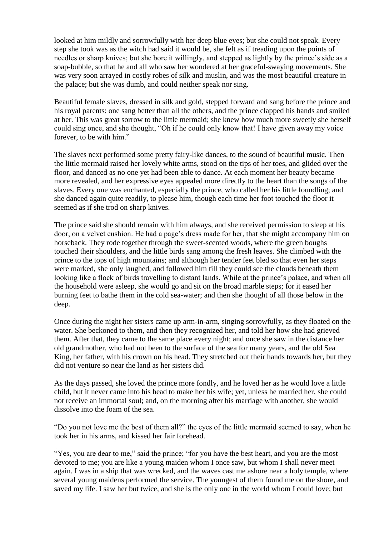looked at him mildly and sorrowfully with her deep blue eyes; but she could not speak. Every step she took was as the witch had said it would be, she felt as if treading upon the points of needles or sharp knives; but she bore it willingly, and stepped as lightly by the prince's side as a soap-bubble, so that he and all who saw her wondered at her graceful-swaying movements. She was very soon arrayed in costly robes of silk and muslin, and was the most beautiful creature in the palace; but she was dumb, and could neither speak nor sing.

Beautiful female slaves, dressed in silk and gold, stepped forward and sang before the prince and his royal parents: one sang better than all the others, and the prince clapped his hands and smiled at her. This was great sorrow to the little mermaid; she knew how much more sweetly she herself could sing once, and she thought, "Oh if he could only know that! I have given away my voice forever, to be with him."

The slaves next performed some pretty fairy-like dances, to the sound of beautiful music. Then the little mermaid raised her lovely white arms, stood on the tips of her toes, and glided over the floor, and danced as no one yet had been able to dance. At each moment her beauty became more revealed, and her expressive eyes appealed more directly to the heart than the songs of the slaves. Every one was enchanted, especially the prince, who called her his little foundling; and she danced again quite readily, to please him, though each time her foot touched the floor it seemed as if she trod on sharp knives.

The prince said she should remain with him always, and she received permission to sleep at his door, on a velvet cushion. He had a page's dress made for her, that she might accompany him on horseback. They rode together through the sweet-scented woods, where the green boughs touched their shoulders, and the little birds sang among the fresh leaves. She climbed with the prince to the tops of high mountains; and although her tender feet bled so that even her steps were marked, she only laughed, and followed him till they could see the clouds beneath them looking like a flock of birds travelling to distant lands. While at the prince's palace, and when all the household were asleep, she would go and sit on the broad marble steps; for it eased her burning feet to bathe them in the cold sea-water; and then she thought of all those below in the deep.

Once during the night her sisters came up arm-in-arm, singing sorrowfully, as they floated on the water. She beckoned to them, and then they recognized her, and told her how she had grieved them. After that, they came to the same place every night; and once she saw in the distance her old grandmother, who had not been to the surface of the sea for many years, and the old Sea King, her father, with his crown on his head. They stretched out their hands towards her, but they did not venture so near the land as her sisters did.

As the days passed, she loved the prince more fondly, and he loved her as he would love a little child, but it never came into his head to make her his wife; yet, unless he married her, she could not receive an immortal soul; and, on the morning after his marriage with another, she would dissolve into the foam of the sea.

"Do you not love me the best of them all?" the eyes of the little mermaid seemed to say, when he took her in his arms, and kissed her fair forehead.

"Yes, you are dear to me," said the prince; "for you have the best heart, and you are the most devoted to me; you are like a young maiden whom I once saw, but whom I shall never meet again. I was in a ship that was wrecked, and the waves cast me ashore near a holy temple, where several young maidens performed the service. The youngest of them found me on the shore, and saved my life. I saw her but twice, and she is the only one in the world whom I could love; but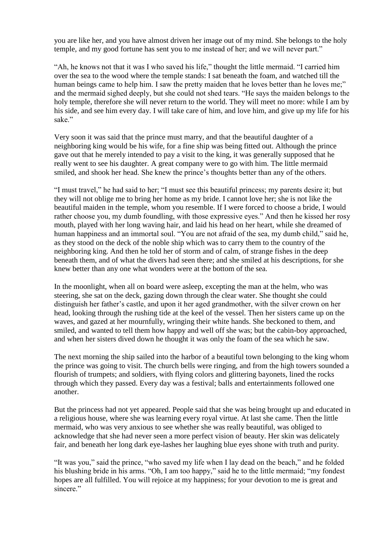you are like her, and you have almost driven her image out of my mind. She belongs to the holy temple, and my good fortune has sent you to me instead of her; and we will never part."

"Ah, he knows not that it was I who saved his life," thought the little mermaid. "I carried him over the sea to the wood where the temple stands: I sat beneath the foam, and watched till the human beings came to help him. I saw the pretty maiden that he loves better than he loves me;" and the mermaid sighed deeply, but she could not shed tears. "He says the maiden belongs to the holy temple, therefore she will never return to the world. They will meet no more: while I am by his side, and see him every day. I will take care of him, and love him, and give up my life for his sake."

Very soon it was said that the prince must marry, and that the beautiful daughter of a neighboring king would be his wife, for a fine ship was being fitted out. Although the prince gave out that he merely intended to pay a visit to the king, it was generally supposed that he really went to see his daughter. A great company were to go with him. The little mermaid smiled, and shook her head. She knew the prince's thoughts better than any of the others.

"I must travel," he had said to her; "I must see this beautiful princess; my parents desire it; but they will not oblige me to bring her home as my bride. I cannot love her; she is not like the beautiful maiden in the temple, whom you resemble. If I were forced to choose a bride, I would rather choose you, my dumb foundling, with those expressive eyes." And then he kissed her rosy mouth, played with her long waving hair, and laid his head on her heart, while she dreamed of human happiness and an immortal soul. "You are not afraid of the sea, my dumb child," said he, as they stood on the deck of the noble ship which was to carry them to the country of the neighboring king. And then he told her of storm and of calm, of strange fishes in the deep beneath them, and of what the divers had seen there; and she smiled at his descriptions, for she knew better than any one what wonders were at the bottom of the sea.

In the moonlight, when all on board were asleep, excepting the man at the helm, who was steering, she sat on the deck, gazing down through the clear water. She thought she could distinguish her father's castle, and upon it her aged grandmother, with the silver crown on her head, looking through the rushing tide at the keel of the vessel. Then her sisters came up on the waves, and gazed at her mournfully, wringing their white hands. She beckoned to them, and smiled, and wanted to tell them how happy and well off she was; but the cabin-boy approached, and when her sisters dived down he thought it was only the foam of the sea which he saw.

The next morning the ship sailed into the harbor of a beautiful town belonging to the king whom the prince was going to visit. The church bells were ringing, and from the high towers sounded a flourish of trumpets; and soldiers, with flying colors and glittering bayonets, lined the rocks through which they passed. Every day was a festival; balls and entertainments followed one another.

But the princess had not yet appeared. People said that she was being brought up and educated in a religious house, where she was learning every royal virtue. At last she came. Then the little mermaid, who was very anxious to see whether she was really beautiful, was obliged to acknowledge that she had never seen a more perfect vision of beauty. Her skin was delicately fair, and beneath her long dark eye-lashes her laughing blue eyes shone with truth and purity.

"It was you," said the prince, "who saved my life when I lay dead on the beach," and he folded his blushing bride in his arms. "Oh, I am too happy," said he to the little mermaid; "my fondest hopes are all fulfilled. You will rejoice at my happiness; for your devotion to me is great and sincere."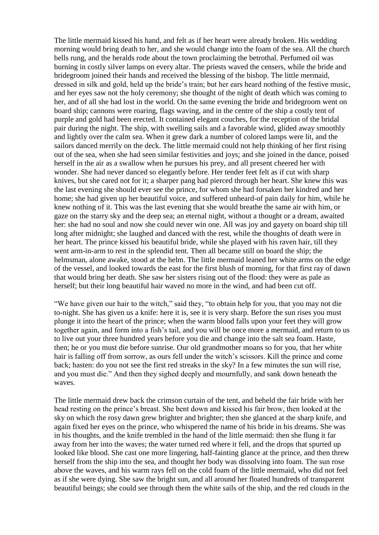The little mermaid kissed his hand, and felt as if her heart were already broken. His wedding morning would bring death to her, and she would change into the foam of the sea. All the church bells rung, and the heralds rode about the town proclaiming the betrothal. Perfumed oil was burning in costly silver lamps on every altar. The priests waved the censers, while the bride and bridegroom joined their hands and received the blessing of the bishop. The little mermaid, dressed in silk and gold, held up the bride's train; but her ears heard nothing of the festive music, and her eyes saw not the holy ceremony; she thought of the night of death which was coming to her, and of all she had lost in the world. On the same evening the bride and bridegroom went on board ship; cannons were roaring, flags waving, and in the centre of the ship a costly tent of purple and gold had been erected. It contained elegant couches, for the reception of the bridal pair during the night. The ship, with swelling sails and a favorable wind, glided away smoothly and lightly over the calm sea. When it grew dark a number of colored lamps were lit, and the sailors danced merrily on the deck. The little mermaid could not help thinking of her first rising out of the sea, when she had seen similar festivities and joys; and she joined in the dance, poised herself in the air as a swallow when he pursues his prey, and all present cheered her with wonder. She had never danced so elegantly before. Her tender feet felt as if cut with sharp knives, but she cared not for it; a sharper pang had pierced through her heart. She knew this was the last evening she should ever see the prince, for whom she had forsaken her kindred and her home; she had given up her beautiful voice, and suffered unheard-of pain daily for him, while he knew nothing of it. This was the last evening that she would breathe the same air with him, or gaze on the starry sky and the deep sea; an eternal night, without a thought or a dream, awaited her: she had no soul and now she could never win one. All was joy and gayety on board ship till long after midnight; she laughed and danced with the rest, while the thoughts of death were in her heart. The prince kissed his beautiful bride, while she played with his raven hair, till they went arm-in-arm to rest in the splendid tent. Then all became still on board the ship; the helmsman, alone awake, stood at the helm. The little mermaid leaned her white arms on the edge of the vessel, and looked towards the east for the first blush of morning, for that first ray of dawn that would bring her death. She saw her sisters rising out of the flood: they were as pale as herself; but their long beautiful hair waved no more in the wind, and had been cut off.

"We have given our hair to the witch," said they, "to obtain help for you, that you may not die to-night. She has given us a knife: here it is, see it is very sharp. Before the sun rises you must plunge it into the heart of the prince; when the warm blood falls upon your feet they will grow together again, and form into a fish's tail, and you will be once more a mermaid, and return to us to live out your three hundred years before you die and change into the salt sea foam. Haste, then; he or you must die before sunrise. Our old grandmother moans so for you, that her white hair is falling off from sorrow, as ours fell under the witch's scissors. Kill the prince and come back; hasten: do you not see the first red streaks in the sky? In a few minutes the sun will rise, and you must die." And then they sighed deeply and mournfully, and sank down beneath the waves.

The little mermaid drew back the crimson curtain of the tent, and beheld the fair bride with her head resting on the prince's breast. She bent down and kissed his fair brow, then looked at the sky on which the rosy dawn grew brighter and brighter; then she glanced at the sharp knife, and again fixed her eyes on the prince, who whispered the name of his bride in his dreams. She was in his thoughts, and the knife trembled in the hand of the little mermaid: then she flung it far away from her into the waves; the water turned red where it fell, and the drops that spurted up looked like blood. She cast one more lingering, half-fainting glance at the prince, and then threw herself from the ship into the sea, and thought her body was dissolving into foam. The sun rose above the waves, and his warm rays fell on the cold foam of the little mermaid, who did not feel as if she were dying. She saw the bright sun, and all around her floated hundreds of transparent beautiful beings; she could see through them the white sails of the ship, and the red clouds in the